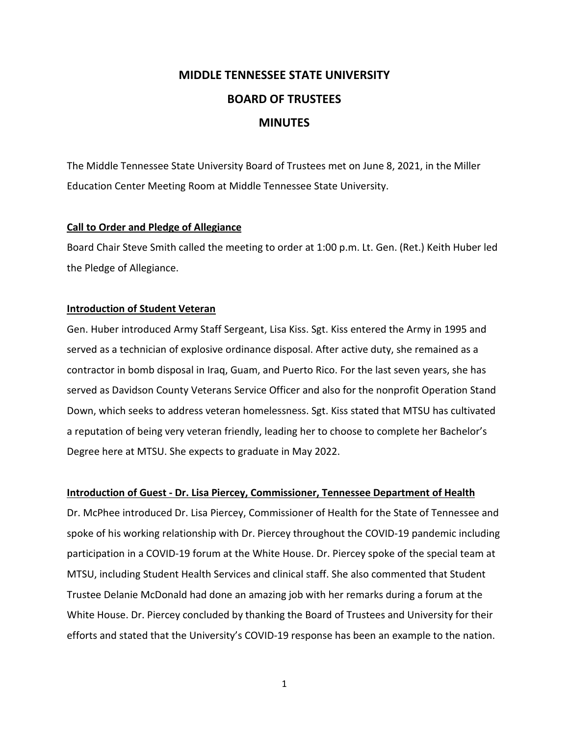# **MIDDLE TENNESSEE STATE UNIVERSITY BOARD OF TRUSTEES MINUTES**

The Middle Tennessee State University Board of Trustees met on June 8, 2021, in the Miller Education Center Meeting Room at Middle Tennessee State University.

## **Call to Order and Pledge of Allegiance**

Board Chair Steve Smith called the meeting to order at 1:00 p.m. Lt. Gen. (Ret.) Keith Huber led the Pledge of Allegiance.

## **Introduction of Student Veteran**

Gen. Huber introduced Army Staff Sergeant, Lisa Kiss. Sgt. Kiss entered the Army in 1995 and served as a technician of explosive ordinance disposal. After active duty, she remained as a contractor in bomb disposal in Iraq, Guam, and Puerto Rico. For the last seven years, she has served as Davidson County Veterans Service Officer and also for the nonprofit Operation Stand Down, which seeks to address veteran homelessness. Sgt. Kiss stated that MTSU has cultivated a reputation of being very veteran friendly, leading her to choose to complete her Bachelor's Degree here at MTSU. She expects to graduate in May 2022.

## **Introduction of Guest - Dr. Lisa Piercey, Commissioner, Tennessee Department of Health**

Dr. McPhee introduced Dr. Lisa Piercey, Commissioner of Health for the State of Tennessee and spoke of his working relationship with Dr. Piercey throughout the COVID-19 pandemic including participation in a COVID-19 forum at the White House. Dr. Piercey spoke of the special team at MTSU, including Student Health Services and clinical staff. She also commented that Student Trustee Delanie McDonald had done an amazing job with her remarks during a forum at the White House. Dr. Piercey concluded by thanking the Board of Trustees and University for their efforts and stated that the University's COVID-19 response has been an example to the nation.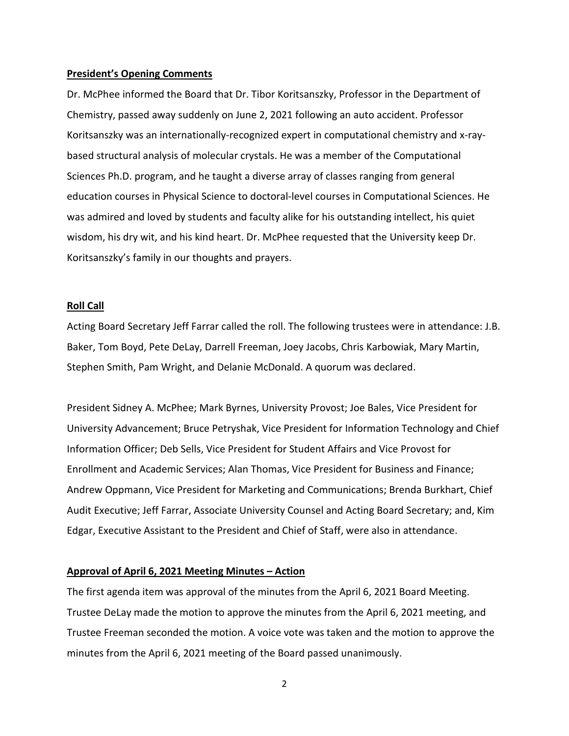#### **President's Opening Comments**

Dr. McPhee informed the Board that Dr. Tibor Koritsanszky, Professor in the Department of Chemistry, passed away suddenly on June 2, 2021 following an auto accident. Professor Koritsanszky was an internationally-recognized expert in computational chemistry and x-raybased structural analysis of molecular crystals. He was a member of the Computational Sciences Ph.D. program, and he taught a diverse array of classes ranging from general education courses in Physical Science to doctoral-level courses in Computational Sciences. He was admired and loved by students and faculty alike for his outstanding intellect, his quiet wisdom, his dry wit, and his kind heart. Dr. McPhee requested that the University keep Dr. Koritsanszky's family in our thoughts and prayers.

## **Roll Call**

Acting Board Secretary Jeff Farrar called the roll. The following trustees were in attendance: J.B. Baker, Tom Boyd, Pete DeLay, Darrell Freeman, Joey Jacobs, Chris Karbowiak, Mary Martin, Stephen Smith, Pam Wright, and Delanie McDonald. A quorum was declared.

President Sidney A. McPhee; Mark Byrnes, University Provost; Joe Bales, Vice President for University Advancement; Bruce Petryshak, Vice President for Information Technology and Chief Information Officer; Deb Sells, Vice President for Student Affairs and Vice Provost for Enrollment and Academic Services; Alan Thomas, Vice President for Business and Finance; Andrew Oppmann, Vice President for Marketing and Communications; Brenda Burkhart, Chief Audit Executive; Jeff Farrar, Associate University Counsel and Acting Board Secretary; and, Kim Edgar, Executive Assistant to the President and Chief of Staff, were also in attendance.

## **Approval of April 6, 2021 Meeting Minutes – Action**

The first agenda item was approval of the minutes from the April 6, 2021 Board Meeting. Trustee DeLay made the motion to approve the minutes from the April 6, 2021 meeting, and Trustee Freeman seconded the motion. A voice vote was taken and the motion to approve the minutes from the April 6, 2021 meeting of the Board passed unanimously.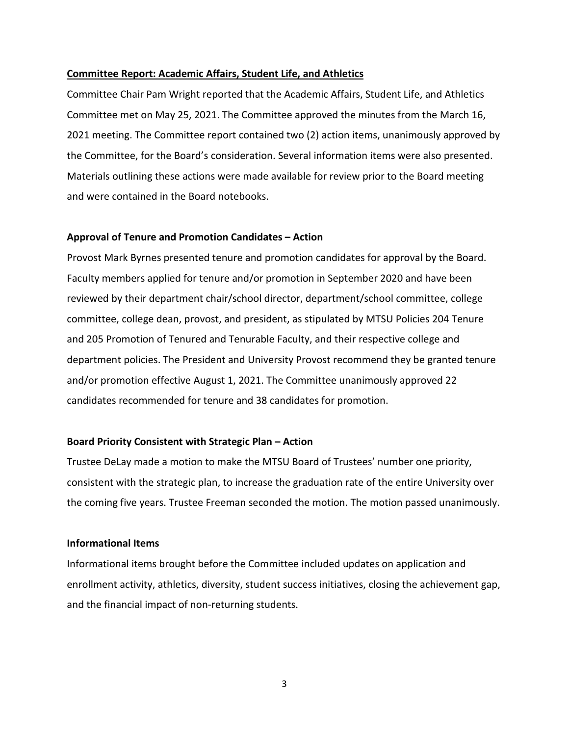## **Committee Report: Academic Affairs, Student Life, and Athletics**

Committee Chair Pam Wright reported that the Academic Affairs, Student Life, and Athletics Committee met on May 25, 2021. The Committee approved the minutes from the March 16, 2021 meeting. The Committee report contained two (2) action items, unanimously approved by the Committee, for the Board's consideration. Several information items were also presented. Materials outlining these actions were made available for review prior to the Board meeting and were contained in the Board notebooks.

### **Approval of Tenure and Promotion Candidates – Action**

Provost Mark Byrnes presented tenure and promotion candidates for approval by the Board. Faculty members applied for tenure and/or promotion in September 2020 and have been reviewed by their department chair/school director, department/school committee, college committee, college dean, provost, and president, as stipulated by MTSU Policies 204 Tenure and 205 Promotion of Tenured and Tenurable Faculty, and their respective college and department policies. The President and University Provost recommend they be granted tenure and/or promotion effective August 1, 2021. The Committee unanimously approved 22 candidates recommended for tenure and 38 candidates for promotion.

#### **Board Priority Consistent with Strategic Plan – Action**

Trustee DeLay made a motion to make the MTSU Board of Trustees' number one priority, consistent with the strategic plan, to increase the graduation rate of the entire University over the coming five years. Trustee Freeman seconded the motion. The motion passed unanimously.

## **Informational Items**

Informational items brought before the Committee included updates on application and enrollment activity, athletics, diversity, student success initiatives, closing the achievement gap, and the financial impact of non-returning students.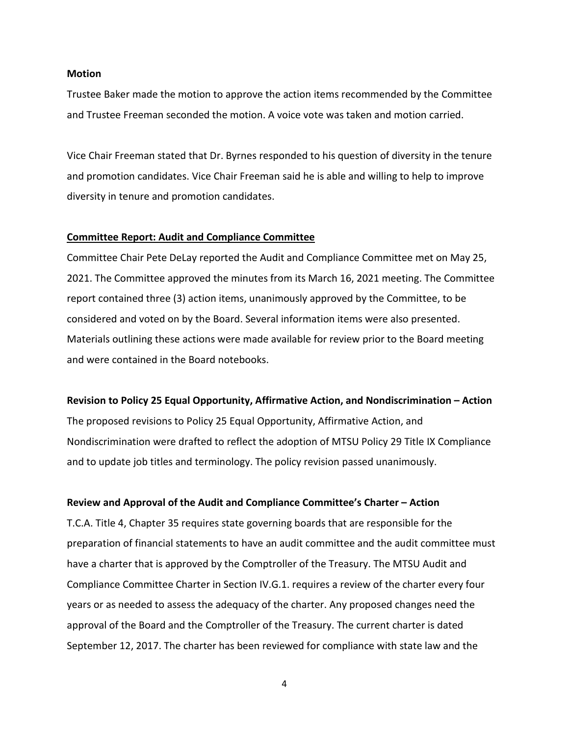#### **Motion**

Trustee Baker made the motion to approve the action items recommended by the Committee and Trustee Freeman seconded the motion. A voice vote was taken and motion carried.

Vice Chair Freeman stated that Dr. Byrnes responded to his question of diversity in the tenure and promotion candidates. Vice Chair Freeman said he is able and willing to help to improve diversity in tenure and promotion candidates.

#### **Committee Report: Audit and Compliance Committee**

Committee Chair Pete DeLay reported the Audit and Compliance Committee met on May 25, 2021. The Committee approved the minutes from its March 16, 2021 meeting. The Committee report contained three (3) action items, unanimously approved by the Committee, to be considered and voted on by the Board. Several information items were also presented. Materials outlining these actions were made available for review prior to the Board meeting and were contained in the Board notebooks.

#### **Revision to Policy 25 Equal Opportunity, Affirmative Action, and Nondiscrimination – Action**

The proposed revisions to Policy 25 Equal Opportunity, Affirmative Action, and Nondiscrimination were drafted to reflect the adoption of MTSU Policy 29 Title IX Compliance and to update job titles and terminology. The policy revision passed unanimously.

#### **Review and Approval of the Audit and Compliance Committee's Charter – Action**

T.C.A. Title 4, Chapter 35 requires state governing boards that are responsible for the preparation of financial statements to have an audit committee and the audit committee must have a charter that is approved by the Comptroller of the Treasury. The MTSU Audit and Compliance Committee Charter in Section IV.G.1. requires a review of the charter every four years or as needed to assess the adequacy of the charter. Any proposed changes need the approval of the Board and the Comptroller of the Treasury. The current charter is dated September 12, 2017. The charter has been reviewed for compliance with state law and the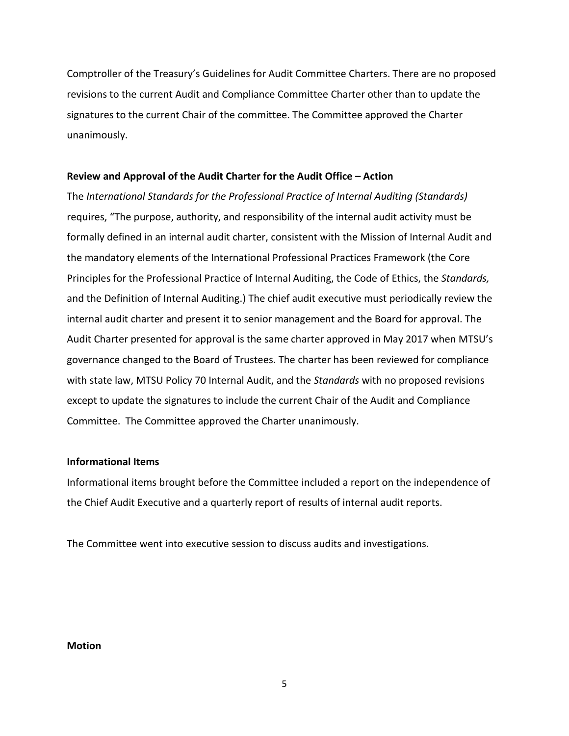Comptroller of the Treasury's Guidelines for Audit Committee Charters. There are no proposed revisions to the current Audit and Compliance Committee Charter other than to update the signatures to the current Chair of the committee. The Committee approved the Charter unanimously.

## **Review and Approval of the Audit Charter for the Audit Office – Action**

The *International Standards for the Professional Practice of Internal Auditing (Standards)*  requires, "The purpose, authority, and responsibility of the internal audit activity must be formally defined in an internal audit charter, consistent with the Mission of Internal Audit and the mandatory elements of the International Professional Practices Framework (the Core Principles for the Professional Practice of Internal Auditing, the Code of Ethics, the *Standards,* and the Definition of Internal Auditing.) The chief audit executive must periodically review the internal audit charter and present it to senior management and the Board for approval. The Audit Charter presented for approval is the same charter approved in May 2017 when MTSU's governance changed to the Board of Trustees. The charter has been reviewed for compliance with state law, MTSU Policy 70 Internal Audit, and the *Standards* with no proposed revisions except to update the signatures to include the current Chair of the Audit and Compliance Committee. The Committee approved the Charter unanimously.

## **Informational Items**

Informational items brought before the Committee included a report on the independence of the Chief Audit Executive and a quarterly report of results of internal audit reports.

The Committee went into executive session to discuss audits and investigations.

#### **Motion**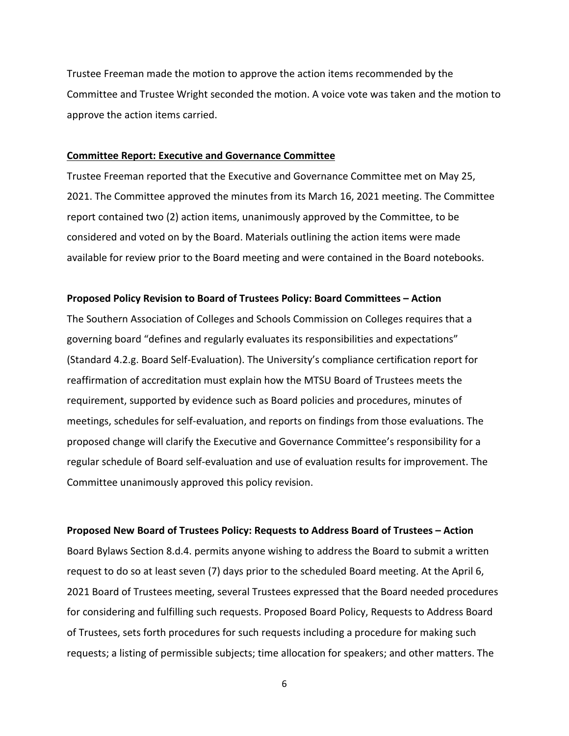Trustee Freeman made the motion to approve the action items recommended by the Committee and Trustee Wright seconded the motion. A voice vote was taken and the motion to approve the action items carried.

#### **Committee Report: Executive and Governance Committee**

Trustee Freeman reported that the Executive and Governance Committee met on May 25, 2021. The Committee approved the minutes from its March 16, 2021 meeting. The Committee report contained two (2) action items, unanimously approved by the Committee, to be considered and voted on by the Board. Materials outlining the action items were made available for review prior to the Board meeting and were contained in the Board notebooks.

#### **Proposed Policy Revision to Board of Trustees Policy: Board Committees – Action**

The Southern Association of Colleges and Schools Commission on Colleges requires that a governing board "defines and regularly evaluates its responsibilities and expectations" (Standard 4.2.g. Board Self-Evaluation). The University's compliance certification report for reaffirmation of accreditation must explain how the MTSU Board of Trustees meets the requirement, supported by evidence such as Board policies and procedures, minutes of meetings, schedules for self-evaluation, and reports on findings from those evaluations. The proposed change will clarify the Executive and Governance Committee's responsibility for a regular schedule of Board self-evaluation and use of evaluation results for improvement. The Committee unanimously approved this policy revision.

#### **Proposed New Board of Trustees Policy: Requests to Address Board of Trustees – Action**

Board Bylaws Section 8.d.4. permits anyone wishing to address the Board to submit a written request to do so at least seven (7) days prior to the scheduled Board meeting. At the April 6, 2021 Board of Trustees meeting, several Trustees expressed that the Board needed procedures for considering and fulfilling such requests. Proposed Board Policy, Requests to Address Board of Trustees, sets forth procedures for such requests including a procedure for making such requests; a listing of permissible subjects; time allocation for speakers; and other matters. The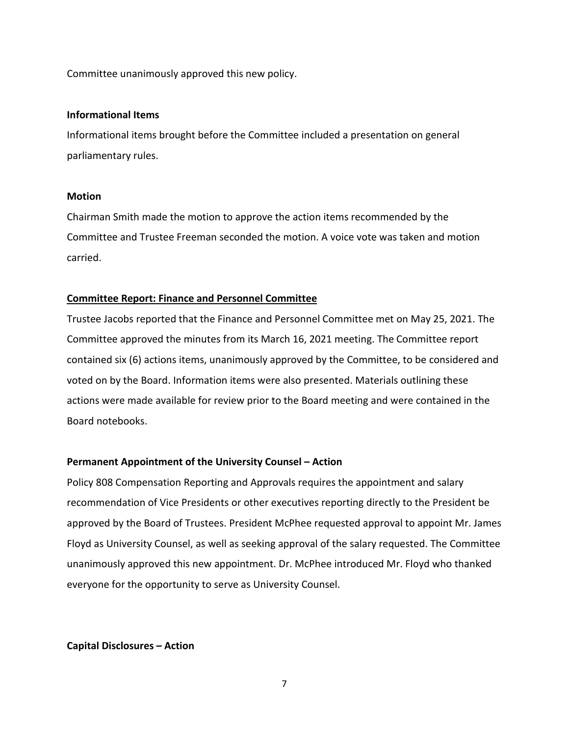Committee unanimously approved this new policy.

## **Informational Items**

Informational items brought before the Committee included a presentation on general parliamentary rules.

## **Motion**

Chairman Smith made the motion to approve the action items recommended by the Committee and Trustee Freeman seconded the motion. A voice vote was taken and motion carried.

## **Committee Report: Finance and Personnel Committee**

Trustee Jacobs reported that the Finance and Personnel Committee met on May 25, 2021. The Committee approved the minutes from its March 16, 2021 meeting. The Committee report contained six (6) actions items, unanimously approved by the Committee, to be considered and voted on by the Board. Information items were also presented. Materials outlining these actions were made available for review prior to the Board meeting and were contained in the Board notebooks.

## **Permanent Appointment of the University Counsel – Action**

Policy 808 Compensation Reporting and Approvals requires the appointment and salary recommendation of Vice Presidents or other executives reporting directly to the President be approved by the Board of Trustees. President McPhee requested approval to appoint Mr. James Floyd as University Counsel, as well as seeking approval of the salary requested. The Committee unanimously approved this new appointment. Dr. McPhee introduced Mr. Floyd who thanked everyone for the opportunity to serve as University Counsel.

**Capital Disclosures – Action**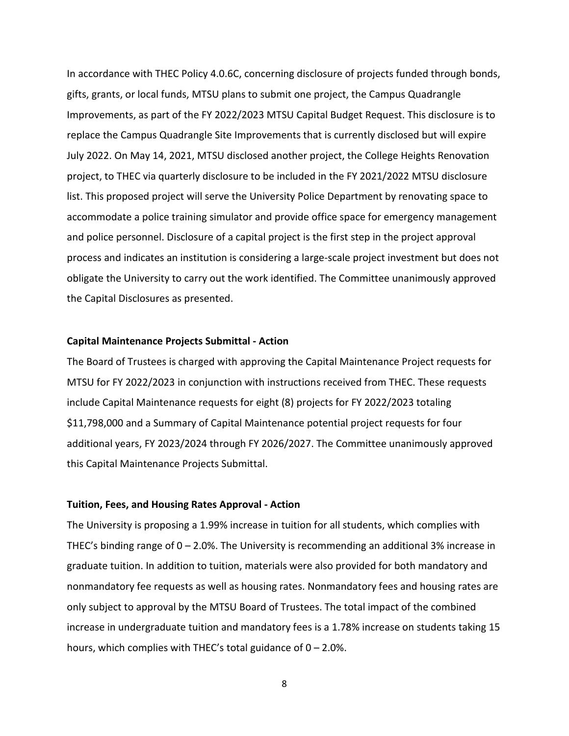In accordance with THEC Policy 4.0.6C, concerning disclosure of projects funded through bonds, gifts, grants, or local funds, MTSU plans to submit one project, the Campus Quadrangle Improvements, as part of the FY 2022/2023 MTSU Capital Budget Request. This disclosure is to replace the Campus Quadrangle Site Improvements that is currently disclosed but will expire July 2022. On May 14, 2021, MTSU disclosed another project, the College Heights Renovation project, to THEC via quarterly disclosure to be included in the FY 2021/2022 MTSU disclosure list. This proposed project will serve the University Police Department by renovating space to accommodate a police training simulator and provide office space for emergency management and police personnel. Disclosure of a capital project is the first step in the project approval process and indicates an institution is considering a large-scale project investment but does not obligate the University to carry out the work identified. The Committee unanimously approved the Capital Disclosures as presented.

#### **Capital Maintenance Projects Submittal - Action**

The Board of Trustees is charged with approving the Capital Maintenance Project requests for MTSU for FY 2022/2023 in conjunction with instructions received from THEC. These requests include Capital Maintenance requests for eight (8) projects for FY 2022/2023 totaling \$11,798,000 and a Summary of Capital Maintenance potential project requests for four additional years, FY 2023/2024 through FY 2026/2027. The Committee unanimously approved this Capital Maintenance Projects Submittal.

#### **Tuition, Fees, and Housing Rates Approval - Action**

The University is proposing a 1.99% increase in tuition for all students, which complies with THEC's binding range of  $0 - 2.0$ %. The University is recommending an additional 3% increase in graduate tuition. In addition to tuition, materials were also provided for both mandatory and nonmandatory fee requests as well as housing rates. Nonmandatory fees and housing rates are only subject to approval by the MTSU Board of Trustees. The total impact of the combined increase in undergraduate tuition and mandatory fees is a 1.78% increase on students taking 15 hours, which complies with THEC's total guidance of  $0 - 2.0$ %.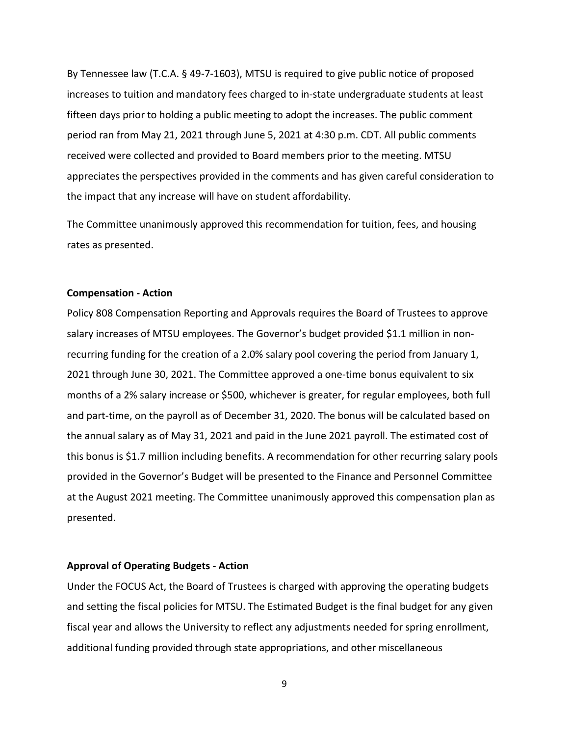By Tennessee law (T.C.A. § 49-7-1603), MTSU is required to give public notice of proposed increases to tuition and mandatory fees charged to in-state undergraduate students at least fifteen days prior to holding a public meeting to adopt the increases. The public comment period ran from May 21, 2021 through June 5, 2021 at 4:30 p.m. CDT. All public comments received were collected and provided to Board members prior to the meeting. MTSU appreciates the perspectives provided in the comments and has given careful consideration to the impact that any increase will have on student affordability.

The Committee unanimously approved this recommendation for tuition, fees, and housing rates as presented.

#### **Compensation - Action**

Policy 808 Compensation Reporting and Approvals requires the Board of Trustees to approve salary increases of MTSU employees. The Governor's budget provided \$1.1 million in nonrecurring funding for the creation of a 2.0% salary pool covering the period from January 1, 2021 through June 30, 2021. The Committee approved a one-time bonus equivalent to six months of a 2% salary increase or \$500, whichever is greater, for regular employees, both full and part-time, on the payroll as of December 31, 2020. The bonus will be calculated based on the annual salary as of May 31, 2021 and paid in the June 2021 payroll. The estimated cost of this bonus is \$1.7 million including benefits. A recommendation for other recurring salary pools provided in the Governor's Budget will be presented to the Finance and Personnel Committee at the August 2021 meeting. The Committee unanimously approved this compensation plan as presented.

#### **Approval of Operating Budgets - Action**

Under the FOCUS Act, the Board of Trustees is charged with approving the operating budgets and setting the fiscal policies for MTSU. The Estimated Budget is the final budget for any given fiscal year and allows the University to reflect any adjustments needed for spring enrollment, additional funding provided through state appropriations, and other miscellaneous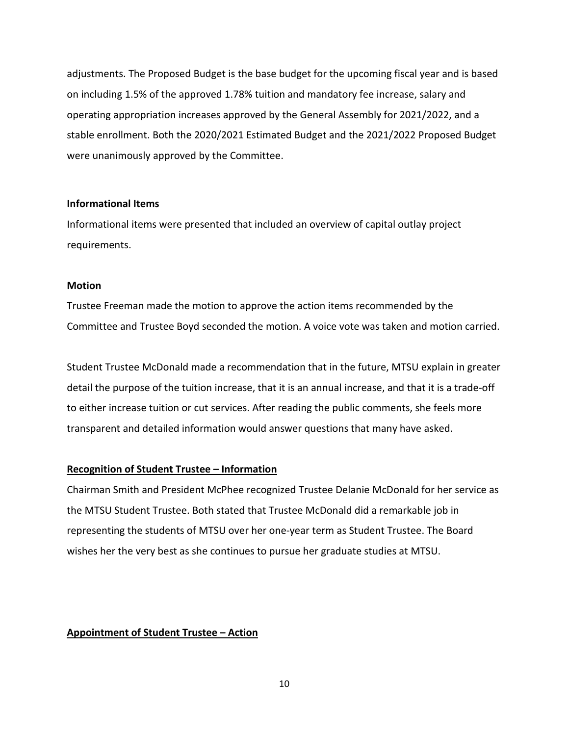adjustments. The Proposed Budget is the base budget for the upcoming fiscal year and is based on including 1.5% of the approved 1.78% tuition and mandatory fee increase, salary and operating appropriation increases approved by the General Assembly for 2021/2022, and a stable enrollment. Both the 2020/2021 Estimated Budget and the 2021/2022 Proposed Budget were unanimously approved by the Committee.

## **Informational Items**

Informational items were presented that included an overview of capital outlay project requirements.

## **Motion**

Trustee Freeman made the motion to approve the action items recommended by the Committee and Trustee Boyd seconded the motion. A voice vote was taken and motion carried.

Student Trustee McDonald made a recommendation that in the future, MTSU explain in greater detail the purpose of the tuition increase, that it is an annual increase, and that it is a trade-off to either increase tuition or cut services. After reading the public comments, she feels more transparent and detailed information would answer questions that many have asked.

## **Recognition of Student Trustee – Information**

Chairman Smith and President McPhee recognized Trustee Delanie McDonald for her service as the MTSU Student Trustee. Both stated that Trustee McDonald did a remarkable job in representing the students of MTSU over her one-year term as Student Trustee. The Board wishes her the very best as she continues to pursue her graduate studies at MTSU.

## **Appointment of Student Trustee – Action**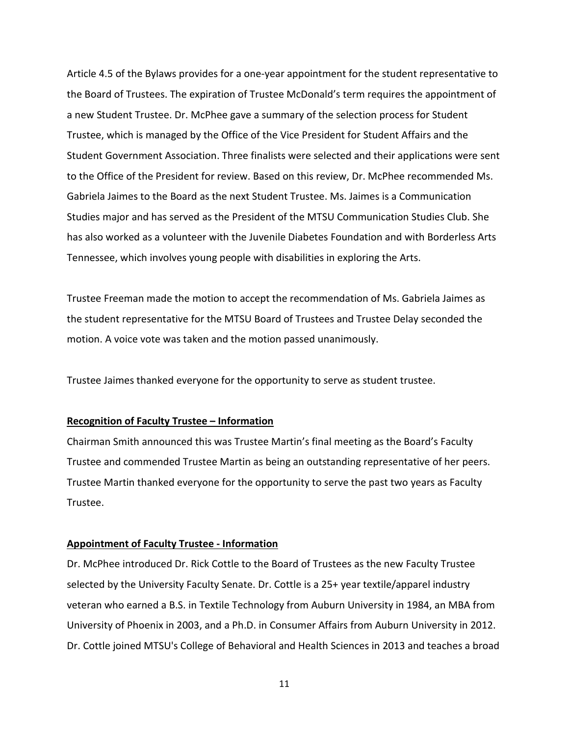Article 4.5 of the Bylaws provides for a one-year appointment for the student representative to the Board of Trustees. The expiration of Trustee McDonald's term requires the appointment of a new Student Trustee. Dr. McPhee gave a summary of the selection process for Student Trustee, which is managed by the Office of the Vice President for Student Affairs and the Student Government Association. Three finalists were selected and their applications were sent to the Office of the President for review. Based on this review, Dr. McPhee recommended Ms. Gabriela Jaimes to the Board as the next Student Trustee. Ms. Jaimes is a Communication Studies major and has served as the President of the MTSU Communication Studies Club. She has also worked as a volunteer with the Juvenile Diabetes Foundation and with Borderless Arts Tennessee, which involves young people with disabilities in exploring the Arts.

Trustee Freeman made the motion to accept the recommendation of Ms. Gabriela Jaimes as the student representative for the MTSU Board of Trustees and Trustee Delay seconded the motion. A voice vote was taken and the motion passed unanimously.

Trustee Jaimes thanked everyone for the opportunity to serve as student trustee.

## **Recognition of Faculty Trustee – Information**

Chairman Smith announced this was Trustee Martin's final meeting as the Board's Faculty Trustee and commended Trustee Martin as being an outstanding representative of her peers. Trustee Martin thanked everyone for the opportunity to serve the past two years as Faculty Trustee.

#### **Appointment of Faculty Trustee - Information**

Dr. McPhee introduced Dr. Rick Cottle to the Board of Trustees as the new Faculty Trustee selected by the University Faculty Senate. Dr. Cottle is a 25+ year textile/apparel industry veteran who earned a B.S. in Textile Technology from Auburn University in 1984, an MBA from University of Phoenix in 2003, and a Ph.D. in Consumer Affairs from Auburn University in 2012. Dr. Cottle joined MTSU's College of Behavioral and Health Sciences in 2013 and teaches a broad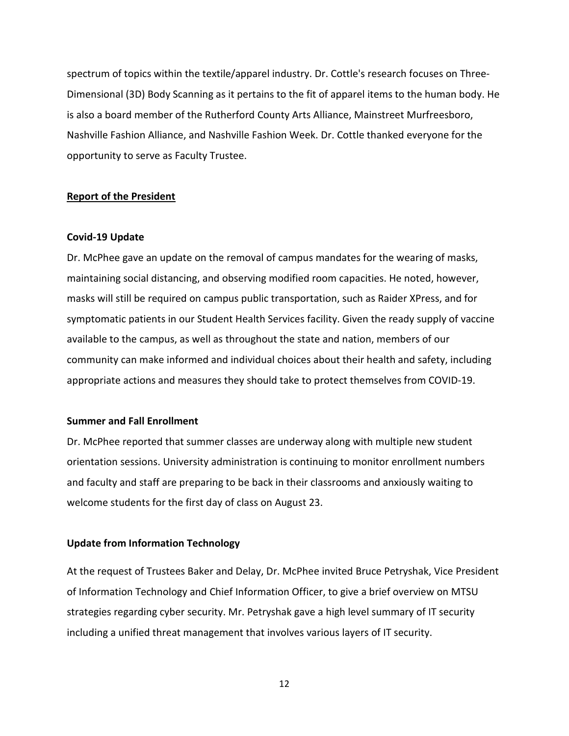spectrum of topics within the textile/apparel industry. Dr. Cottle's research focuses on Three-Dimensional (3D) Body Scanning as it pertains to the fit of apparel items to the human body. He is also a board member of the Rutherford County Arts Alliance, Mainstreet Murfreesboro, Nashville Fashion Alliance, and Nashville Fashion Week. Dr. Cottle thanked everyone for the opportunity to serve as Faculty Trustee.

#### **Report of the President**

#### **Covid-19 Update**

Dr. McPhee gave an update on the removal of campus mandates for the wearing of masks, maintaining social distancing, and observing modified room capacities. He noted, however, masks will still be required on campus public transportation, such as Raider XPress, and for symptomatic patients in our Student Health Services facility. Given the ready supply of vaccine available to the campus, as well as throughout the state and nation, members of our community can make informed and individual choices about their health and safety, including appropriate actions and measures they should take to protect themselves from COVID-19.

### **Summer and Fall Enrollment**

Dr. McPhee reported that summer classes are underway along with multiple new student orientation sessions. University administration is continuing to monitor enrollment numbers and faculty and staff are preparing to be back in their classrooms and anxiously waiting to welcome students for the first day of class on August 23.

## **Update from Information Technology**

At the request of Trustees Baker and Delay, Dr. McPhee invited Bruce Petryshak, Vice President of Information Technology and Chief Information Officer, to give a brief overview on MTSU strategies regarding cyber security. Mr. Petryshak gave a high level summary of IT security including a unified threat management that involves various layers of IT security.